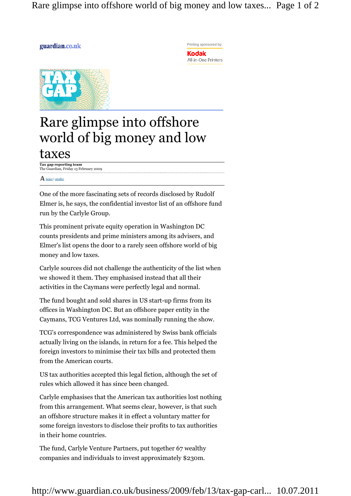Rare glimpse into offshore world of big money and low taxes... Page 1 of 2

## guardian.co.uk





## Rare glimpse into offshore world of big money and low taxes

**Tax gap reporting team** The Guardian, Friday 13 February 2009

## $\mathbf A$  larger | smaller

One of the more fascinating sets of records disclosed by Rudolf Elmer is, he says, the confidential investor list of an offshore fund run by the Carlyle Group.

This prominent private equity operation in Washington DC counts presidents and prime ministers among its advisers, and Elmer's list opens the door to a rarely seen offshore world of big money and low taxes.

Carlyle sources did not challenge the authenticity of the list when we showed it them. They emphasised instead that all their activities in the Caymans were perfectly legal and normal.

The fund bought and sold shares in US start-up firms from its offices in Washington DC. But an offshore paper entity in the Caymans, TCG Ventures Ltd, was nominally running the show.

TCG's correspondence was administered by Swiss bank officials actually living on the islands, in return for a fee. This helped the foreign investors to minimise their tax bills and protected them from the American courts.

US tax authorities accepted this legal fiction, although the set of rules which allowed it has since been changed.

Carlyle emphasises that the American tax authorities lost nothing from this arrangement. What seems clear, however, is that such an offshore structure makes it in effect a voluntary matter for some foreign investors to disclose their profits to tax authorities in their home countries.

The fund, Carlyle Venture Partners, put together 67 wealthy companies and individuals to invest approximately \$230m.